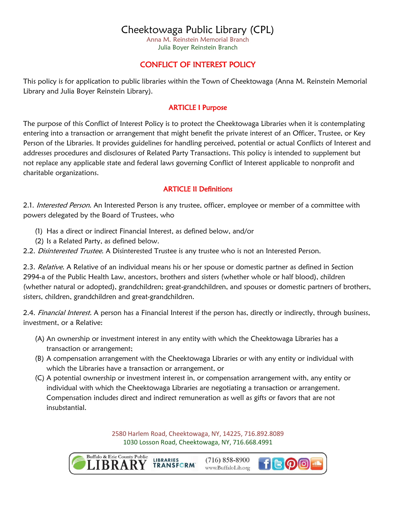Anna M. Reinstein Memorial Branch Julia Boyer Reinstein Branch

# CONFLICT OF INTEREST POLICY

This policy is for application to public libraries within the Town of Cheektowaga (Anna M. Reinstein Memorial Library and Julia Boyer Reinstein Library).

### ARTICLE I Purpose

The purpose of this Conflict of Interest Policy is to protect the Cheektowaga Libraries when it is contemplating entering into a transaction or arrangement that might benefit the private interest of an Officer, Trustee, or Key Person of the Libraries. It provides guidelines for handling perceived, potential or actual Conflicts of Interest and addresses procedures and disclosures of Related Party Transactions. This policy is intended to supplement but not replace any applicable state and federal laws governing Conflict of Interest applicable to nonprofit and charitable organizations.

## ARTICLE II Definitions

2.1. Interested Person. An Interested Person is any trustee, officer, employee or member of a committee with powers delegated by the Board of Trustees, who

- (1) Has a direct or indirect Financial Interest, as defined below, and/or
- (2) Is a Related Party, as defined below.

2.2. Disinterested Trustee. A Disinterested Trustee is any trustee who is not an Interested Person.

2.3. Relative. A Relative of an individual means his or her spouse or domestic partner as defined in Section 2994-a of the Public Health Law, ancestors, brothers and sisters (whether whole or half blood), children (whether natural or adopted), grandchildren; great-grandchildren, and spouses or domestic partners of brothers, sisters, children, grandchildren and great-grandchildren.

2.4. Financial Interest. A person has a Financial Interest if the person has, directly or indirectly, through business, investment, or a Relative:

- (A) An ownership or investment interest in any entity with which the Cheektowaga Libraries has a transaction or arrangement;
- (B) A compensation arrangement with the Cheektowaga Libraries or with any entity or individual with which the Libraries have a transaction or arrangement, or
- (C) A potential ownership or investment interest in, or compensation arrangement with, any entity or individual with which the Cheektowaga Libraries are negotiating a transaction or arrangement. Compensation includes direct and indirect remuneration as well as gifts or favors that are not insubstantial.

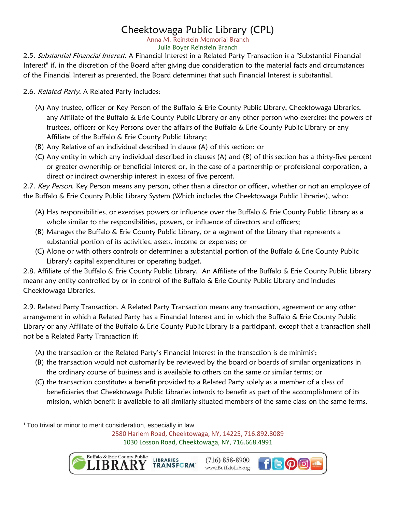Anna M. Reinstein Memorial Branch Julia Boyer Reinstein Branch

2.5. Substantial Financial Interest. A Financial Interest in a Related Party Transaction is a "Substantial Financial Interest" if, in the discretion of the Board after giving due consideration to the material facts and circumstances of the Financial Interest as presented, the Board determines that such Financial Interest is substantial.

2.6. Related Party. A Related Party includes:

- (A) Any trustee, officer or Key Person of the Buffalo & Erie County Public Library, Cheektowaga Libraries, any Affiliate of the Buffalo & Erie County Public Library or any other person who exercises the powers of trustees, officers or Key Persons over the affairs of the Buffalo & Erie County Public Library or any Affiliate of the Buffalo & Erie County Public Library;
- (B) Any Relative of an individual described in clause (A) of this section; or
- (C) Any entity in which any individual described in clauses (A) and (B) of this section has a thirty-five percent or greater ownership or beneficial interest or, in the case of a partnership or professional corporation, a direct or indirect ownership interest in excess of five percent.

2.7. Key Person. Key Person means any person, other than a director or officer, whether or not an employee of the Buffalo & Erie County Public Library System (Which includes the Cheektowaga Public Libraries), who:

- (A) Has responsibilities, or exercises powers or influence over the Buffalo & Erie County Public Library as a whole similar to the responsibilities, powers, or influence of directors and officers;
- (B) Manages the Buffalo & Erie County Public Library, or a segment of the Library that represents a substantial portion of its activities, assets, income or expenses; or
- (C) Alone or with others controls or determines a substantial portion of the Buffalo & Erie County Public Library's capital expenditures or operating budget.

2.8. Affiliate of the Buffalo & Erie County Public Library. An Affiliate of the Buffalo & Erie County Public Library means any entity controlled by or in control of the Buffalo & Erie County Public Library and includes Cheektowaga Libraries.

2.9. Related Party Transaction. A Related Party Transaction means any transaction, agreement or any other arrangement in which a Related Party has a Financial Interest and in which the Buffalo & Erie County Public Library or any Affiliate of the Buffalo & Erie County Public Library is a participant, except that a transaction shall not be a Related Party Transaction if:

- (A) the transaction or the Related Party's Financial Interest in the transaction is de minimis<sup>1</sup>;
- (B) the transaction would not customarily be reviewed by the board or boards of similar organizations in the ordinary course of business and is available to others on the same or similar terms; or
- (C) the transaction constitutes a benefit provided to a Related Party solely as a member of a class of beneficiaries that Cheektowaga Public Libraries intends to benefit as part of the accomplishment of its mission, which benefit is available to all similarly situated members of the same class on the same terms.

 $\overline{\phantom{a}}$ <sup>1</sup> Too trivial or minor to merit consideration, especially in law.

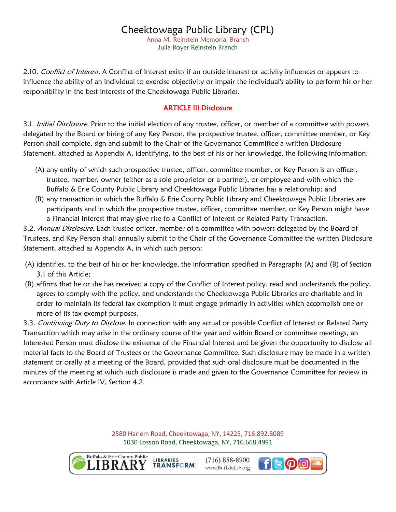Anna M. Reinstein Memorial Branch Julia Boyer Reinstein Branch

2.10. Conflict of Interest. A Conflict of Interest exists if an outside interest or activity influences or appears to influence the ability of an individual to exercise objectivity or impair the individual's ability to perform his or her responsibility in the best interests of the Cheektowaga Public Libraries.

### ARTICLE III Disclosure

3.1. Initial Disclosure. Prior to the initial election of any trustee, officer, or member of a committee with powers delegated by the Board or hiring of any Key Person, the prospective trustee, officer, committee member, or Key Person shall complete, sign and submit to the Chair of the Governance Committee a written Disclosure Statement, attached as Appendix A, identifying, to the best of his or her knowledge, the following information:

- (A) any entity of which such prospective trustee, officer, committee member, or Key Person is an officer, trustee, member, owner (either as a sole proprietor or a partner), or employee and with which the Buffalo & Erie County Public Library and Cheektowaga Public Libraries has a relationship; and
- (B) any transaction in which the Buffalo & Erie County Public Library and Cheektowaga Public Libraries are participants and in which the prospective trustee, officer, committee member, or Key Person might have a Financial Interest that may give rise to a Conflict of Interest or Related Party Transaction.

3.2. Annual Disclosure. Each trustee officer, member of a committee with powers delegated by the Board of Trustees, and Key Person shall annually submit to the Chair of the Governance Committee the written Disclosure Statement, attached as Appendix A, in which such person:

- (A) identifies, to the best of his or her knowledge, the information specified in Paragraphs (A) and (B) of Section 3.1 of this Article;
- (B) affirms that he or she has received a copy of the Conflict of Interest policy, read and understands the policy, agrees to comply with the policy, and understands the Cheektowaga Public Libraries are charitable and in order to maintain its federal tax exemption it must engage primarily in activities which accomplish one or more of its tax exempt purposes.

3.3. Continuing Duty to Disclose. In connection with any actual or possible Conflict of Interest or Related Party Transaction which may arise in the ordinary course of the year and within Board or committee meetings, an Interested Person must disclose the existence of the Financial Interest and be given the opportunity to disclose all material facts to the Board of Trustees or the Governance Committee. Such disclosure may be made in a written statement or orally at a meeting of the Board, provided that such oral disclosure must be documented in the minutes of the meeting at which such disclosure is made and given to the Governance Committee for review in accordance with Article IV, Section 4.2.

> 2580 Harlem Road, Cheektowaga, NY, 14225, 716.892.8089 1030 Losson Road, Cheektowaga, NY, 716.668.4991

> > **LIBRARIES**



 $(716)$  858-8900 **TRANSFORM** www.BuffaloLib.org

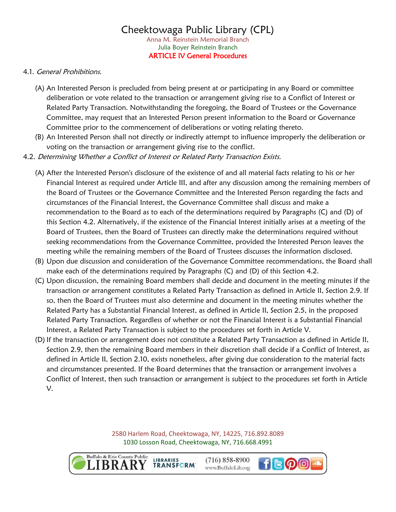### Cheektowaga Public Library (CPL) Anna M. Reinstein Memorial Branch Julia Boyer Reinstein Branch ARTICLE IV General Procedures

#### 4.1. General Prohibitions.

- (A) An Interested Person is precluded from being present at or participating in any Board or committee deliberation or vote related to the transaction or arrangement giving rise to a Conflict of Interest or Related Party Transaction. Notwithstanding the foregoing, the Board of Trustees or the Governance Committee, may request that an Interested Person present information to the Board or Governance Committee prior to the commencement of deliberations or voting relating thereto.
- (B) An Interested Person shall not directly or indirectly attempt to influence improperly the deliberation or voting on the transaction or arrangement giving rise to the conflict.
- 4.2. Determining Whether a Conflict of Interest or Related Party Transaction Exists.
	- (A) After the Interested Person's disclosure of the existence of and all material facts relating to his or her Financial Interest as required under Article III, and after any discussion among the remaining members of the Board of Trustees or the Governance Committee and the Interested Person regarding the facts and circumstances of the Financial Interest, the Governance Committee shall discuss and make a recommendation to the Board as to each of the determinations required by Paragraphs (C) and (D) of this Section 4.2. Alternatively, if the existence of the Financial Interest initially arises at a meeting of the Board of Trustees, then the Board of Trustees can directly make the determinations required without seeking recommendations from the Governance Committee, provided the Interested Person leaves the meeting while the remaining members of the Board of Trustees discusses the information disclosed.
	- (B) Upon due discussion and consideration of the Governance Committee recommendations, the Board shall make each of the determinations required by Paragraphs (C) and (D) of this Section 4.2.
	- (C) Upon discussion, the remaining Board members shall decide and document in the meeting minutes if the transaction or arrangement constitutes a Related Party Transaction as defined in Article II, Section 2.9. If so, then the Board of Trustees must also determine and document in the meeting minutes whether the Related Party has a Substantial Financial Interest, as defined in Article II, Section 2.5, in the proposed Related Party Transaction. Regardless of whether or not the Financial Interest is a Substantial Financial Interest, a Related Party Transaction is subject to the procedures set forth in Article V.
	- (D) If the transaction or arrangement does not constitute a Related Party Transaction as defined in Article II, Section 2.9, then the remaining Board members in their discretion shall decide if a Conflict of Interest, as defined in Article II, Section 2.10, exists nonetheless, after giving due consideration to the material facts and circumstances presented. If the Board determines that the transaction or arrangement involves a Conflict of Interest, then such transaction or arrangement is subject to the procedures set forth in Article V.

2580 Harlem Road, Cheektowaga, NY, 14225, 716.892.8089 1030 Losson Road, Cheektowaga, NY, 716.668.4991



**LIBRARIES TRANSFORM** 

 $(716)$  858-8900 www.BuffaloLib.org

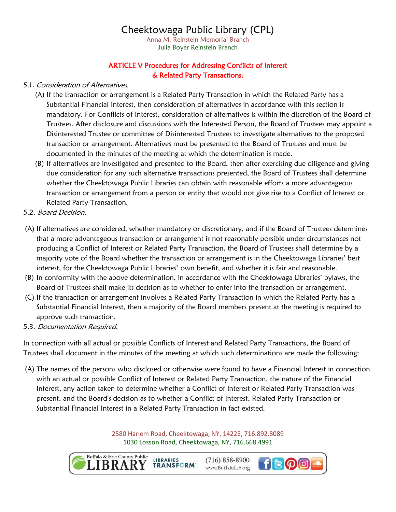Anna M. Reinstein Memorial Branch Julia Boyer Reinstein Branch

### ARTICLE V Procedures for Addressing Conflicts of Interest & Related Party Transactions.

### 5.1. Consideration of Alternatives.

- (A) If the transaction or arrangement is a Related Party Transaction in which the Related Party has a Substantial Financial Interest, then consideration of alternatives in accordance with this section is mandatory. For Conflicts of Interest, consideration of alternatives is within the discretion of the Board of Trustees. After disclosure and discussions with the Interested Person, the Board of Trustees may appoint a Disinterested Trustee or committee of Disinterested Trustees to investigate alternatives to the proposed transaction or arrangement. Alternatives must be presented to the Board of Trustees and must be documented in the minutes of the meeting at which the determination is made.
- (B) If alternatives are investigated and presented to the Board, then after exercising due diligence and giving due consideration for any such alternative transactions presented, the Board of Trustees shall determine whether the Cheektowaga Public Libraries can obtain with reasonable efforts a more advantageous transaction or arrangement from a person or entity that would not give rise to a Conflict of Interest or Related Party Transaction.
- 5.2. Board Decision.
- (A) If alternatives are considered, whether mandatory or discretionary, and if the Board of Trustees determines that a more advantageous transaction or arrangement is not reasonably possible under circumstances not producing a Conflict of Interest or Related Party Transaction, the Board of Trustees shall determine by a majority vote of the Board whether the transaction or arrangement is in the Cheektowaga Libraries' best interest, for the Cheektowaga Public Libraries' own benefit, and whether it is fair and reasonable.
- (B) In conformity with the above determination, in accordance with the Cheektowaga Libraries' bylaws, the Board of Trustees shall make its decision as to whether to enter into the transaction or arrangement.
- (C) If the transaction or arrangement involves a Related Party Transaction in which the Related Party has a Substantial Financial Interest, then a majority of the Board members present at the meeting is required to approve such transaction.
- 5.3. Documentation Required.

In connection with all actual or possible Conflicts of Interest and Related Party Transactions, the Board of Trustees shall document in the minutes of the meeting at which such determinations are made the following:

(A) The names of the persons who disclosed or otherwise were found to have a Financial Interest in connection with an actual or possible Conflict of Interest or Related Party Transaction, the nature of the Financial Interest, any action taken to determine whether a Conflict of Interest or Related Party Transaction was present, and the Board's decision as to whether a Conflict of Interest, Related Party Transaction or Substantial Financial Interest in a Related Party Transaction in fact existed.

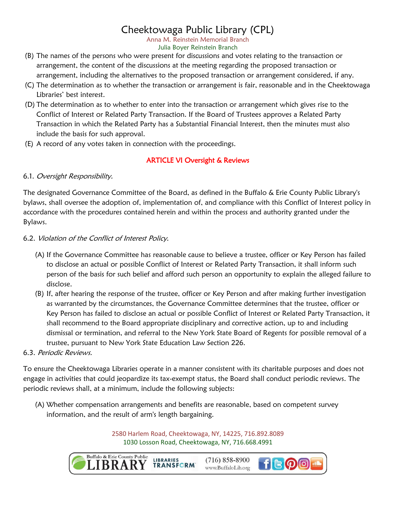Anna M. Reinstein Memorial Branch Julia Boyer Reinstein Branch

- (B) The names of the persons who were present for discussions and votes relating to the transaction or arrangement, the content of the discussions at the meeting regarding the proposed transaction or arrangement, including the alternatives to the proposed transaction or arrangement considered, if any.
- (C) The determination as to whether the transaction or arrangement is fair, reasonable and in the Cheektowaga Libraries' best interest.
- (D) The determination as to whether to enter into the transaction or arrangement which gives rise to the Conflict of Interest or Related Party Transaction. If the Board of Trustees approves a Related Party Transaction in which the Related Party has a Substantial Financial Interest, then the minutes must also include the basis for such approval.
- (E) A record of any votes taken in connection with the proceedings.

# ARTICLE VI Oversight & Reviews

### 6.1. Oversight Responsibility.

The designated Governance Committee of the Board, as defined in the Buffalo & Erie County Public Library's bylaws, shall oversee the adoption of, implementation of, and compliance with this Conflict of Interest policy in accordance with the procedures contained herein and within the process and authority granted under the Bylaws.

### 6.2. Violation of the Conflict of Interest Policy.

- (A) If the Governance Committee has reasonable cause to believe a trustee, officer or Key Person has failed to disclose an actual or possible Conflict of Interest or Related Party Transaction, it shall inform such person of the basis for such belief and afford such person an opportunity to explain the alleged failure to disclose.
- (B) If, after hearing the response of the trustee, officer or Key Person and after making further investigation as warranted by the circumstances, the Governance Committee determines that the trustee, officer or Key Person has failed to disclose an actual or possible Conflict of Interest or Related Party Transaction, it shall recommend to the Board appropriate disciplinary and corrective action, up to and including dismissal or termination, and referral to the New York State Board of Regents for possible removal of a trustee, pursuant to New York State Education Law Section 226.

### 6.3. Periodic Reviews.

To ensure the Cheektowaga Libraries operate in a manner consistent with its charitable purposes and does not engage in activities that could jeopardize its tax-exempt status, the Board shall conduct periodic reviews. The periodic reviews shall, at a minimum, include the following subjects:

(A) Whether compensation arrangements and benefits are reasonable, based on competent survey information, and the result of arm's length bargaining.

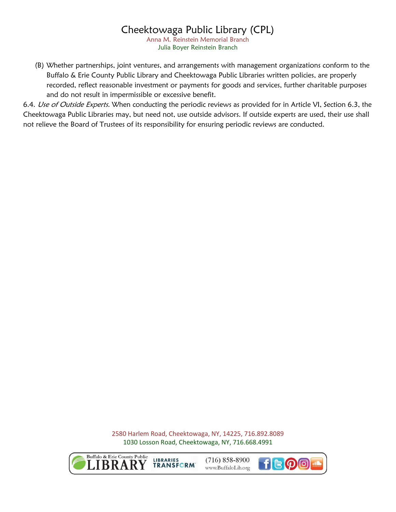Anna M. Reinstein Memorial Branch Julia Boyer Reinstein Branch

(B) Whether partnerships, joint ventures, and arrangements with management organizations conform to the Buffalo & Erie County Public Library and Cheektowaga Public Libraries written policies, are properly recorded, reflect reasonable investment or payments for goods and services, further charitable purposes and do not result in impermissible or excessive benefit.

6.4. Use of Outside Experts. When conducting the periodic reviews as provided for in Article VI, Section 6.3, the Cheektowaga Public Libraries may, but need not, use outside advisors. If outside experts are used, their use shall not relieve the Board of Trustees of its responsibility for ensuring periodic reviews are conducted.



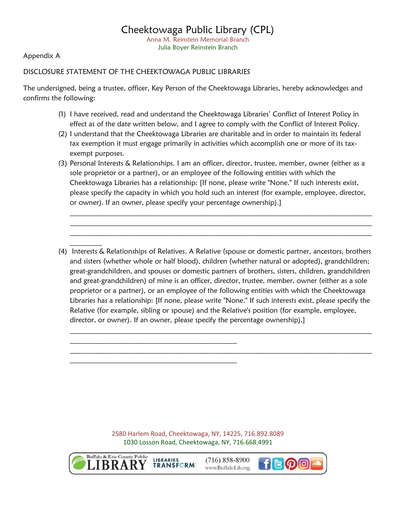Appendix A

#### DISCLOSURE STATEMENT OF THE CHEEKTOWAGA PUBLIC LIBRARIES

The undersigned, being a trustee, officer, Key Person of the Cheektowaga Libraries, hereby acknowledges and confirms the following:

- (1) I have received, read and understand the Cheektowaga Libraries' Conflict of Interest Policy in effect as of the date written below, and I agree to comply with the Conflict of Interest Policy.
- (2) I understand that the Cheektowaga Libraries are charitable and in order to maintain its federal tax exemption it must engage primarily in activities which accomplish one or more of its taxexempt purposes.
- (3) Personal Interests & Relationships. I am an officer, director, trustee, member, owner (either as a sole proprietor or a partner), or an employee of the following entities with which the Cheektowaga Libraries has a relationship: [If none, please write "None." If such interests exist, please specify the capacity in which you hold such an interest (for example, employee, director, or owner). If an owner, please specify your percentage ownership).]

 $\mathcal{L}_\text{max} = \mathcal{L}_\text{max} = \mathcal{L}_\text{max} = \mathcal{L}_\text{max} = \mathcal{L}_\text{max} = \mathcal{L}_\text{max} = \mathcal{L}_\text{max} = \mathcal{L}_\text{max} = \mathcal{L}_\text{max} = \mathcal{L}_\text{max} = \mathcal{L}_\text{max} = \mathcal{L}_\text{max} = \mathcal{L}_\text{max} = \mathcal{L}_\text{max} = \mathcal{L}_\text{max} = \mathcal{L}_\text{max} = \mathcal{L}_\text{max} = \mathcal{L}_\text{max} = \mathcal{$  $\mathcal{L}_\text{max} = \mathcal{L}_\text{max} = \mathcal{L}_\text{max} = \mathcal{L}_\text{max} = \mathcal{L}_\text{max} = \mathcal{L}_\text{max} = \mathcal{L}_\text{max} = \mathcal{L}_\text{max} = \mathcal{L}_\text{max} = \mathcal{L}_\text{max} = \mathcal{L}_\text{max} = \mathcal{L}_\text{max} = \mathcal{L}_\text{max} = \mathcal{L}_\text{max} = \mathcal{L}_\text{max} = \mathcal{L}_\text{max} = \mathcal{L}_\text{max} = \mathcal{L}_\text{max} = \mathcal{$  $\mathcal{L}_\text{max}$  , and the contribution of the contribution of the contribution of the contribution of the contribution of the contribution of the contribution of the contribution of the contribution of the contribution of t

(4) Interests & Relationships of Relatives. A Relative (spouse or domestic partner, ancestors, brothers and sisters (whether whole or half blood), children (whether natural or adopted), grandchildren; great-grandchildren, and spouses or domestic partners of brothers, sisters, children, grandchildren and great-grandchildren) of mine is an officer, director, trustee, member, owner (either as a sole proprietor or a partner), or an employee of the following entities with which the Cheektowaga Libraries has a relationship: [If none, please write "None." If such interests exist, please specify the Relative (for example, sibling or spouse) and the Relative's position (for example, employee, director, or owner). If an owner, please specify the percentage ownership).]

 $\mathcal{L}_\text{max} = \mathcal{L}_\text{max} = \mathcal{L}_\text{max} = \mathcal{L}_\text{max} = \mathcal{L}_\text{max} = \mathcal{L}_\text{max} = \mathcal{L}_\text{max} = \mathcal{L}_\text{max} = \mathcal{L}_\text{max} = \mathcal{L}_\text{max} = \mathcal{L}_\text{max} = \mathcal{L}_\text{max} = \mathcal{L}_\text{max} = \mathcal{L}_\text{max} = \mathcal{L}_\text{max} = \mathcal{L}_\text{max} = \mathcal{L}_\text{max} = \mathcal{L}_\text{max} = \mathcal{$ 

 $\mathcal{L}_\text{max} = \mathcal{L}_\text{max} = \mathcal{L}_\text{max} = \mathcal{L}_\text{max} = \mathcal{L}_\text{max} = \mathcal{L}_\text{max} = \mathcal{L}_\text{max} = \mathcal{L}_\text{max} = \mathcal{L}_\text{max} = \mathcal{L}_\text{max} = \mathcal{L}_\text{max} = \mathcal{L}_\text{max} = \mathcal{L}_\text{max} = \mathcal{L}_\text{max} = \mathcal{L}_\text{max} = \mathcal{L}_\text{max} = \mathcal{L}_\text{max} = \mathcal{L}_\text{max} = \mathcal{$ 

2580 Harlem Road, Cheektowaga, NY, 14225, 716.892.8089 1030 Losson Road, Cheektowaga, NY, 716.668.4991



 $\mathcal{L}_\text{max}$ 

**LIBRARIES TRANSFORM** 

\_\_\_\_\_\_\_\_\_\_\_\_\_\_\_\_\_\_\_\_\_\_\_\_\_\_\_\_\_\_\_\_\_\_\_\_\_\_\_\_\_\_\_\_\_\_\_

 $\mathcal{L}_\text{max}$  and the contract of the contract of the contract of the contract of the contract of the contract of the contract of the contract of the contract of the contract of the contract of the contract of the contrac

 $(716) 858 - 8900$ www.BuffaloLib.org